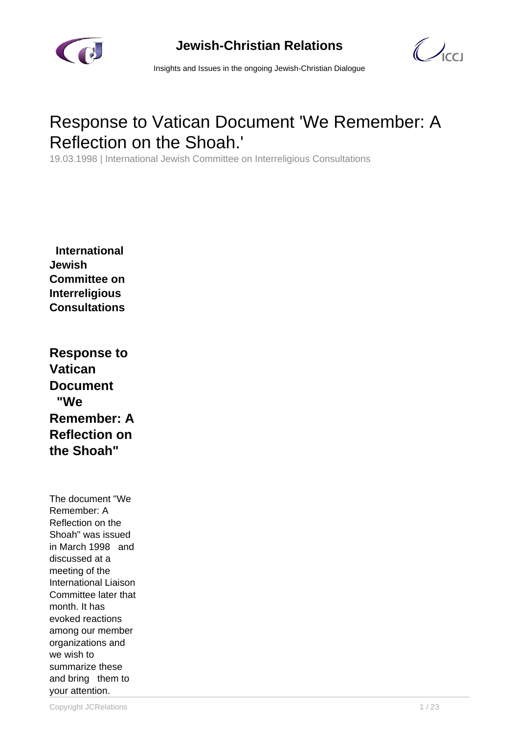



Insights and Issues in the ongoing Jewish-Christian Dialogue

# Response to Vatican Document 'We Remember: A Reflection on the Shoah.'

19.03.1998 | International Jewish Committee on Interreligious Consultations

 **International Jewish Committee on Interreligious Consultations**

**Response to Vatican Document "We Remember: A Reflection on the Shoah"**

The document "We Remember: A Reflection on the Shoah" was issued in March 1998 and discussed at a meeting of the International Liaison Committee later that month. It has evoked reactions among our member organizations and we wish to summarize these and bring them to your attention.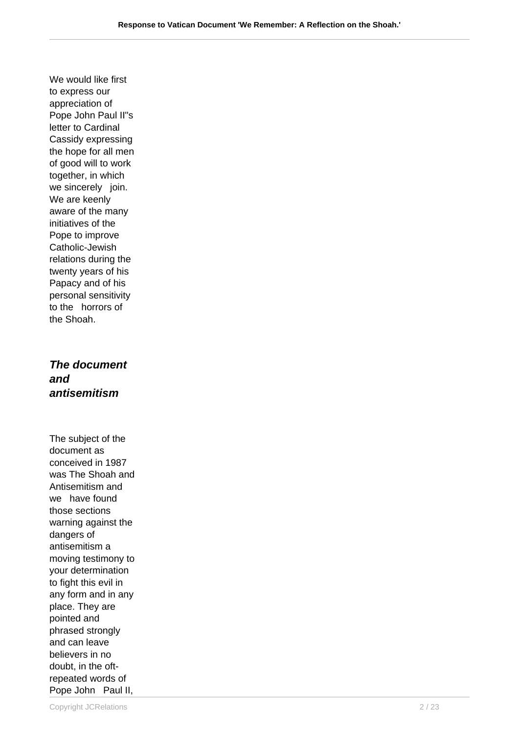We would like first to express our appreciation of Pope John Paul II"s letter to Cardinal Cassidy expressing the hope for all men of good will to work together, in which we sincerely join. We are keenly aware of the many initiatives of the Pope to improve Catholic-Jewish relations during the twenty years of his Papacy and of his personal sensitivity to the horrors of the Shoah.

**The document and antisemitism**

The subject of the document as conceived in 1987 was The Shoah and Antisemitism and we have found those sections warning against the dangers of antisemitism a moving testimony to your determination to fight this evil in any form and in any place. They are pointed and phrased strongly and can leave believers in no doubt, in the oftrepeated words of Pope John Paul II,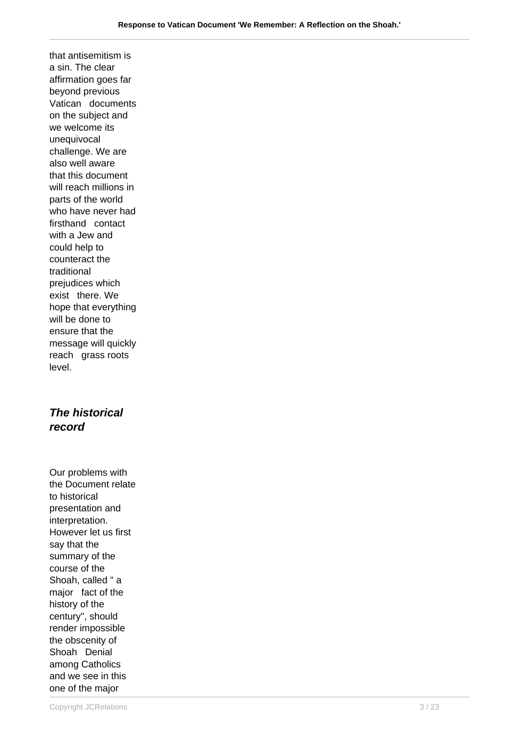that antisemitism is a sin. The clear affirmation goes far beyond previous Vatican documents on the subject and we welcome its unequivocal challenge. We are also well aware that this document will reach millions in parts of the world who have never had firsthand contact with a Jew and could help to counteract the traditional prejudices which exist there. We hope that everything will be done to ensure that the message will quickly reach grass roots level.

## **The historical record**

Our problems with the Document relate to historical presentation and interpretation. However let us first say that the summary of the course of the Shoah, called " a major fact of the history of the century", should render impossible the obscenity of Shoah Denial among Catholics and we see in this one of the major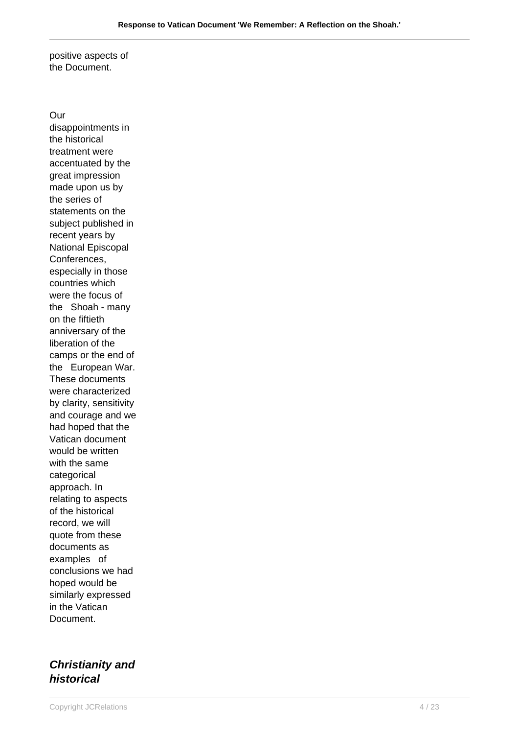positive aspects of the Document.

Our disappointments in the historical treatment were accentuated by the great impression made upon us by the series of statements on the subject published in recent years by National Episcopal Conferences, especially in those countries which were the focus of the Shoah - many on the fiftieth anniversary of the liberation of the camps or the end of the European War. These documents were characterized by clarity, sensitivity and courage and we had hoped that the Vatican document would be written with the same categorical approach. In relating to aspects of the historical record, we will quote from these documents as examples of conclusions we had hoped would be similarly expressed in the Vatican Document.

# **Christianity and historical**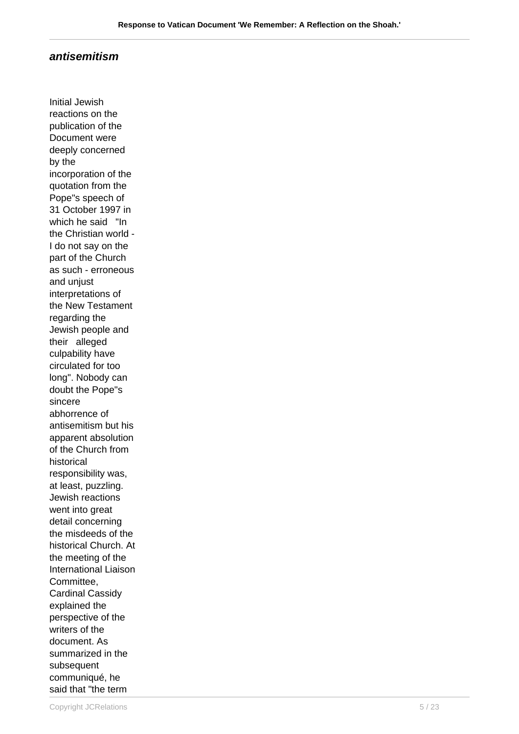#### **antisemitism**

Initial Jewish reactions on the publication of the Document were deeply concerned by the incorporation of the quotation from the Pope"s speech of 31 October 1997 in which he said "In the Christian world - I do not say on the part of the Church as such - erroneous and uniust interpretations of the New Testament regarding the Jewish people and their alleged culpability have circulated for too long". Nobody can doubt the Pope"s sincere abhorrence of antisemitism but his apparent absolution of the Church from historical responsibility was, at least, puzzling. Jewish reactions went into great detail concerning the misdeeds of the historical Church. At the meeting of the International Liaison Committee, Cardinal Cassidy explained the perspective of the writers of the document. As summarized in the subsequent communiqué, he said that "the term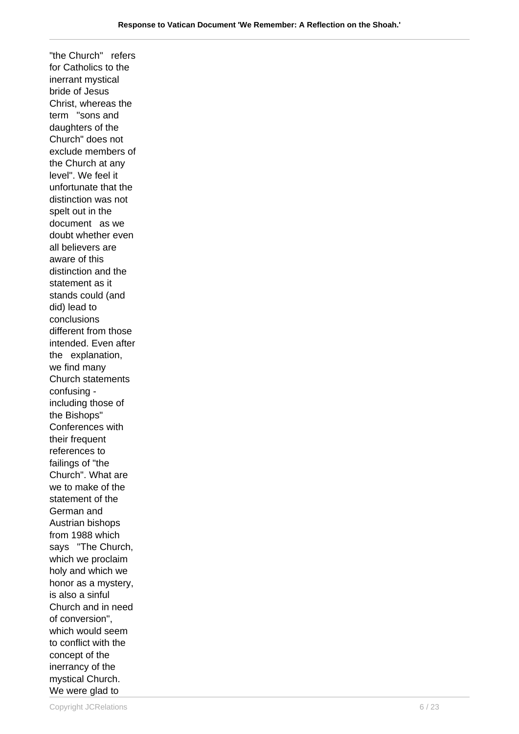"the Church" refers for Catholics to the inerrant mystical bride of Jesus Christ, whereas the term "sons and daughters of the Church" does not exclude members of the Church at any level". We feel it unfortunate that the distinction was not spelt out in the document as we doubt whether even all believers are aware of this distinction and the statement as it stands could (and did) lead to conclusions different from those intended. Even after the explanation, we find many Church statements confusing including those of the Bishops" Conferences with their frequent references to failings of "the Church". What are we to make of the statement of the German and Austrian bishops from 1988 which says "The Church, which we proclaim holy and which we honor as a mystery, is also a sinful Church and in need of conversion", which would seem to conflict with the concept of the inerrancy of the mystical Church. We were glad to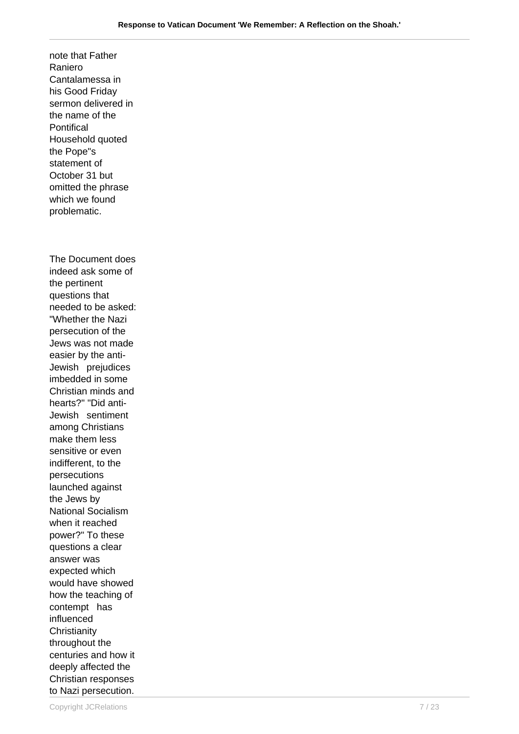note that Father Raniero Cantalamessa in his Good Friday sermon delivered in the name of the **Pontifical** Household quoted the Pope"s statement of October 31 but omitted the phrase which we found problematic. The Document does indeed ask some of the pertinent questions that needed to be asked: "Whether the Nazi persecution of the Jews was not made easier by the anti-Jewish prejudices imbedded in some Christian minds and hearts?" "Did anti-Jewish sentiment among Christians make them less sensitive or even indifferent, to the persecutions launched against the Jews by National Socialism when it reached power?" To these questions a clear answer was expected which would have showed how the teaching of contempt has influenced **Christianity** throughout the centuries and how it deeply affected the Christian responses to Nazi persecution.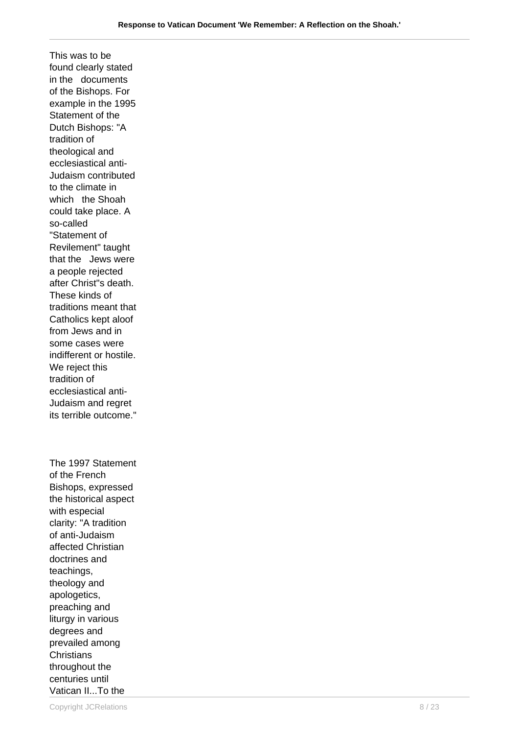This was to be found clearly stated in the documents of the Bishops. For example in the 1995 Statement of the Dutch Bishops: "A tradition of theological and ecclesiastical anti-Judaism contributed to the climate in which the Shoah could take place. A so-called "Statement of Revilement" taught that the Jews were a people rejected after Christ"s death. These kinds of traditions meant that Catholics kept aloof from Jews and in some cases were indifferent or hostile. We reject this tradition of ecclesiastical anti-Judaism and regret its terrible outcome."

The 1997 Statement of the French Bishops, expressed the historical aspect with especial clarity: "A tradition of anti-Judaism affected Christian doctrines and teachings, theology and apologetics, preaching and liturgy in various degrees and prevailed among **Christians** throughout the centuries until Vatican II...To the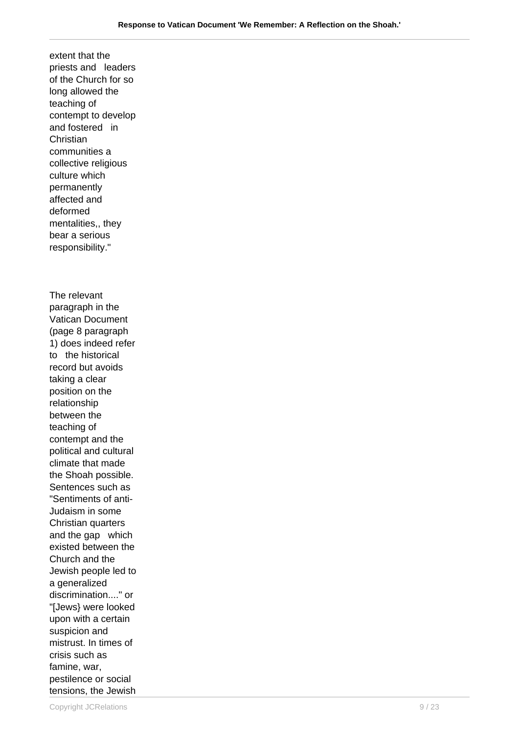extent that the priests and leaders of the Church for so long allowed the teaching of contempt to develop and fostered in **Christian** communities a collective religious culture which permanently affected and deformed mentalities,, they bear a serious responsibility." The relevant paragraph in the Vatican Document (page 8 paragraph 1) does indeed refer to the historical record but avoids taking a clear position on the relationship between the teaching of contempt and the political and cultural climate that made the Shoah possible. Sentences such as "Sentiments of anti-Judaism in some Christian quarters and the gap which existed between the Church and the Jewish people led to a generalized discrimination...." or "[Jews} were looked upon with a certain suspicion and mistrust. In times of crisis such as famine, war, pestilence or social tensions, the Jewish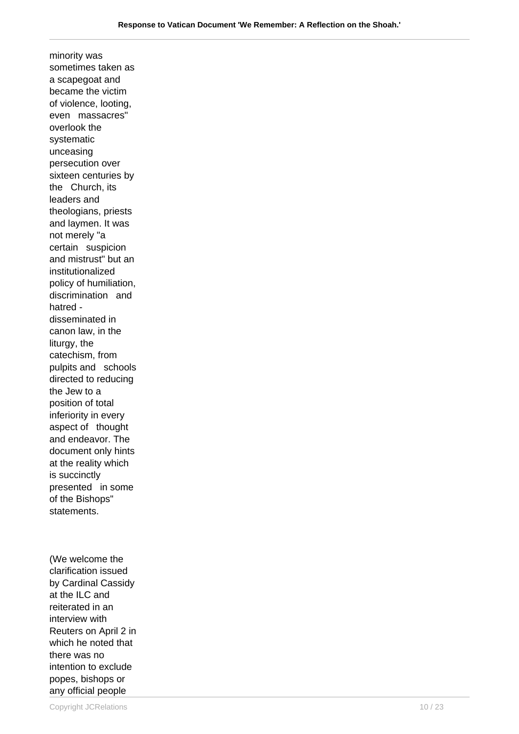minority was sometimes taken as a scapegoat and became the victim of violence, looting, even massacres" overlook the systematic unceasing persecution over sixteen centuries by the Church, its leaders and theologians, priests and laymen. It was not merely "a certain suspicion and mistrust" but an institutionalized policy of humiliation, discrimination and hatred disseminated in canon law, in the liturgy, the catechism, from pulpits and schools directed to reducing the Jew to a position of total inferiority in every aspect of thought and endeavor. The document only hints at the reality which is succinctly presented in some of the Bishops" statements.

(We welcome the clarification issued by Cardinal Cassidy at the ILC and reiterated in an interview with Reuters on April 2 in which he noted that there was no intention to exclude popes, bishops or any official people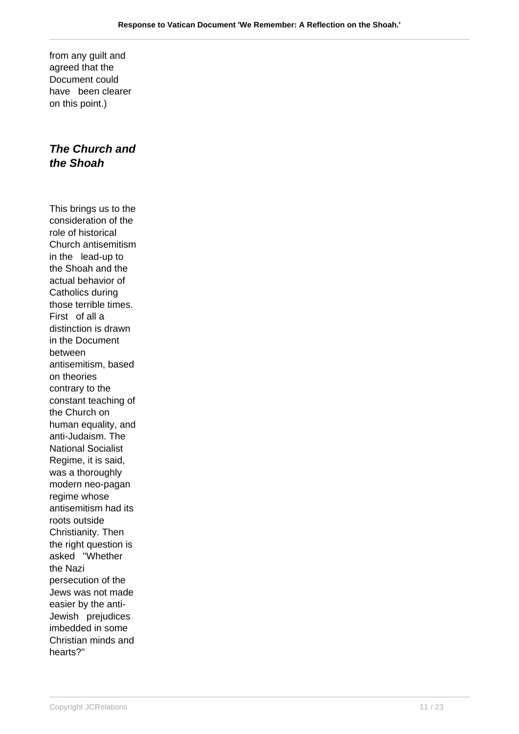from any guilt and agreed that the Document could have been clearer on this point.)

## **The Church and the Shoah**

This brings us to the consideration of the role of historical Church antisemitism in the lead-up to the Shoah and the actual behavior of Catholics during those terrible times. First of all a distinction is drawn in the Document between antisemitism, based on theories contrary to the constant teaching of the Church on human equality, and anti-Judaism. The National Socialist Regime, it is said, was a thoroughly modern neo-pagan regime whose antisemitism had its roots outside Christianity. Then the right question is asked "Whether the Nazi persecution of the Jews was not made easier by the anti-Jewish prejudices imbedded in some Christian minds and hearts?"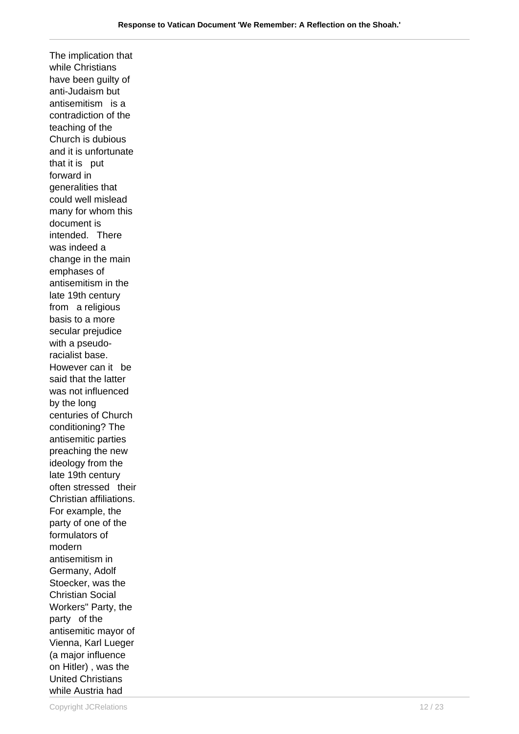The implication that while Christians have been guilty of anti-Judaism but antisemitism is a contradiction of the teaching of the Church is dubious and it is unfortunate that it is put forward in generalities that could well mislead many for whom this document is intended. There was indeed a change in the main emphases of antisemitism in the late 19th century from a religious basis to a more secular prejudice with a pseudoracialist base. However can it be said that the latter was not influenced by the long centuries of Church conditioning? The antisemitic parties preaching the new ideology from the late 19th century often stressed their Christian affiliations. For example, the party of one of the formulators of modern antisemitism in Germany, Adolf Stoecker, was the Christian Social Workers" Party, the party of the antisemitic mayor of Vienna, Karl Lueger (a major influence on Hitler) , was the United Christians while Austria had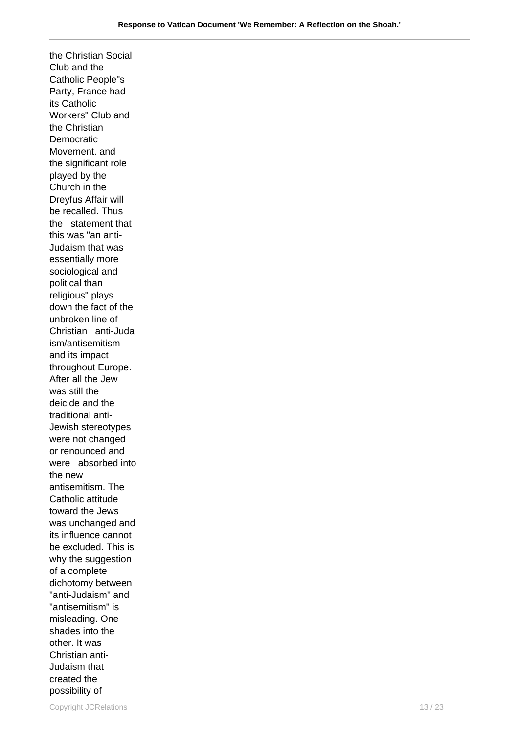the Christian Social Club and the Catholic People"s Party, France had its Catholic Workers" Club and the Christian Democratic Movement. and the significant role played by the Church in the Dreyfus Affair will be recalled. Thus the statement that this was "an anti-Judaism that was essentially more sociological and political than religious" plays down the fact of the unbroken line of Christian anti-Juda ism/antisemitism and its impact throughout Europe. After all the Jew was still the deicide and the traditional anti-Jewish stereotypes were not changed or renounced and were absorbed into the new antisemitism. The Catholic attitude toward the Jews was unchanged and its influence cannot be excluded. This is why the suggestion of a complete dichotomy between "anti-Judaism" and "antisemitism" is misleading. One shades into the other. It was Christian anti-Judaism that created the possibility of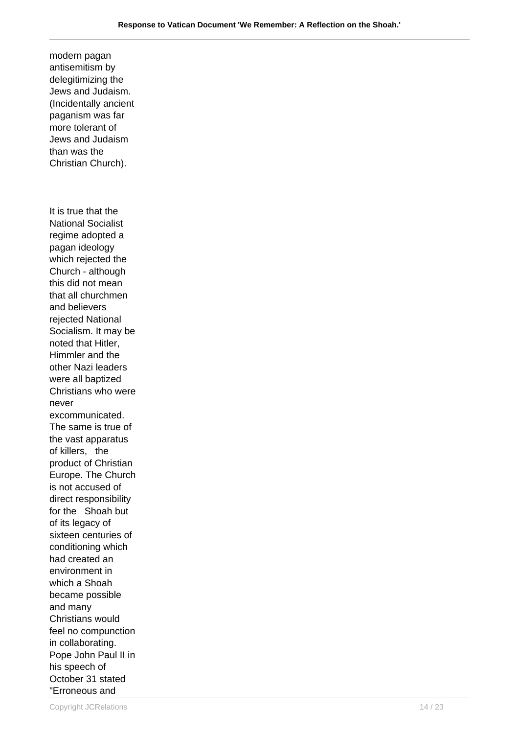delegitimizing the Jews and Judaism. (Incidentally ancient paganism was far more tolerant of Jews and Judaism than was the Christian Church). It is true that the National Socialist regime adopted a pagan ideology which rejected the Church - although this did not mean that all churchmen and believers rejected National Socialism. It may be noted that Hitler, Himmler and the other Nazi leaders were all baptized Christians who were never excommunicated. The same is true of the vast apparatus of killers, the product of Christian Europe. The Church is not accused of direct responsibility for the Shoah but of its legacy of sixteen centuries of conditioning which had created an environment in which a Shoah became possible and many Christians would feel no compunction in collaborating. Pope John Paul II in his speech of October 31 stated "Erroneous and

modern pagan antisemitism by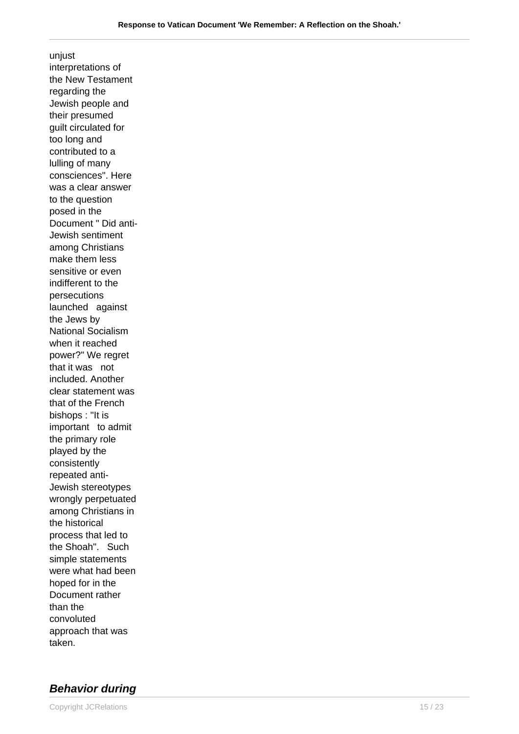unjust interpretations of the New Testament regarding the Jewish people and their presumed guilt circulated for too long and contributed to a lulling of many consciences". Here was a clear answer to the question posed in the Document " Did anti-Jewish sentiment among Christians make them less sensitive or even indifferent to the persecutions launched against the Jews by National Socialism when it reached power?" We regret that it was not included. Another clear statement was that of the French bishops : "It is important to admit the primary role played by the consistently repeated anti-Jewish stereotypes wrongly perpetuated among Christians in the historical process that led to the Shoah". Such simple statements were what had been hoped for in the Document rather than the convoluted approach that was taken.

## **Behavior during**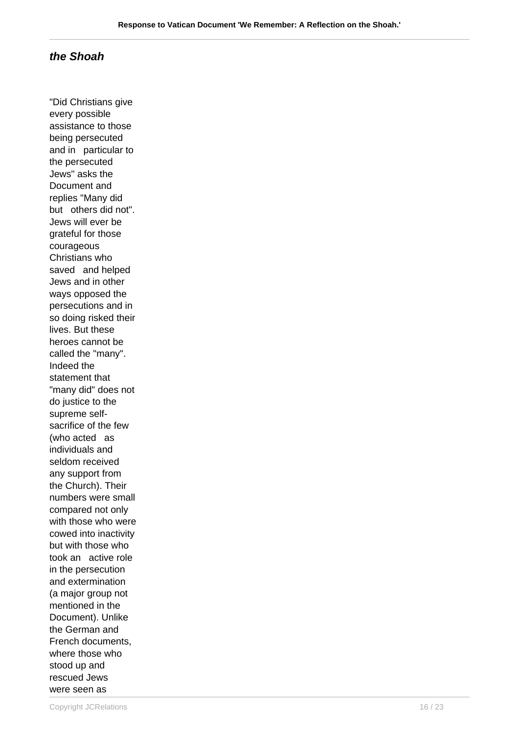## **the Shoah**

"Did Christians give every possible assistance to those being persecuted and in particular to the persecuted Jews" asks the Document and replies "Many did but others did not". Jews will ever be grateful for those courageous Christians who saved and helped Jews and in other ways opposed the persecutions and in so doing risked their lives. But these heroes cannot be called the "many". Indeed the statement that "many did" does not do justice to the supreme selfsacrifice of the few (who acted as individuals and seldom received any support from the Church). Their numbers were small compared not only with those who were cowed into inactivity but with those who took an active role in the persecution and extermination (a major group not mentioned in the Document). Unlike the German and French documents, where those who stood up and rescued Jews were seen as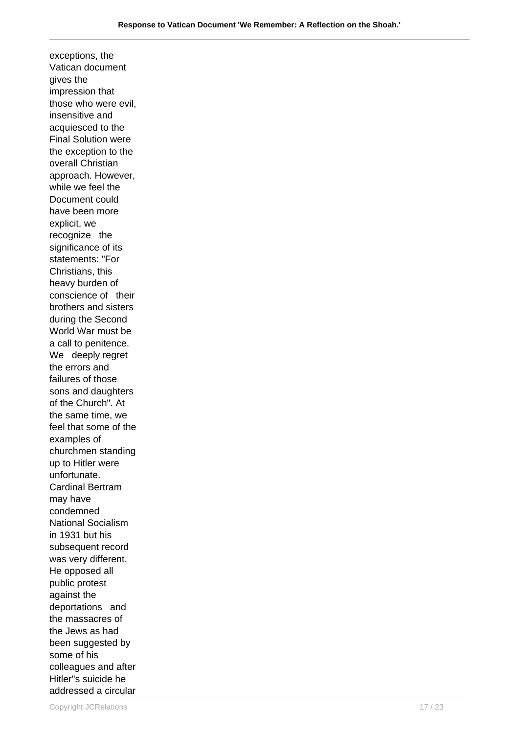exceptions, the Vatican document gives the impression that those who were evil, insensitive and acquiesced to the Final Solution were the exception to the overall Christian approach. However, while we feel the Document could have been more explicit, we recognize the significance of its statements: "For Christians, this heavy burden of conscience of their brothers and sisters during the Second World War must be a call to penitence. We deeply regret the errors and failures of those sons and daughters of the Church". At the same time, we feel that some of the examples of churchmen standing up to Hitler were unfortunate. Cardinal Bertram may have condemned National Socialism in 1931 but his subsequent record was very different. He opposed all public protest against the deportations and the massacres of the Jews as had been suggested by some of his colleagues and after Hitler"s suicide he addressed a circular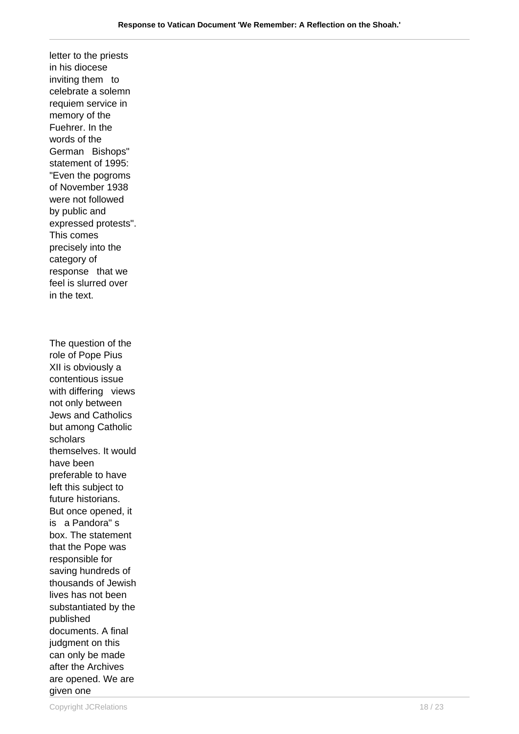letter to the priests in his diocese inviting them to celebrate a solemn requiem service in memory of the Fuehrer. In the words of the German Bishops" statement of 1995: "Even the pogroms of November 1938 were not followed by public and expressed protests". This comes precisely into the category of response that we feel is slurred over in the text.

The question of the role of Pope Pius XII is obviously a contentious issue with differing views not only between Jews and Catholics but among Catholic scholars themselves. It would have been preferable to have left this subject to future historians. But once opened, it is a Pandora" s box. The statement that the Pope was responsible for saving hundreds of thousands of Jewish lives has not been substantiated by the published documents. A final judgment on this can only be made after the Archives are opened. We are given one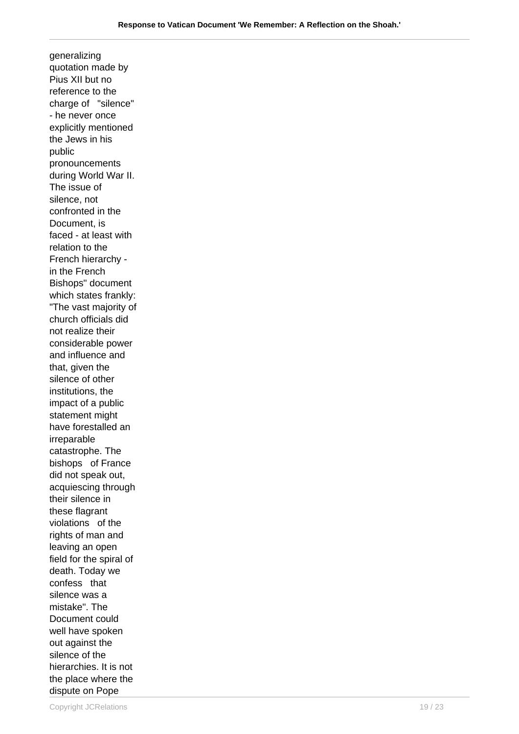generalizing quotation made by Pius XII but no reference to the charge of "silence" - he never once explicitly mentioned the Jews in his public pronouncements during World War II. The issue of silence, not confronted in the Document, is faced - at least with relation to the French hierarchy in the French Bishops" document which states frankly: "The vast majority of church officials did not realize their considerable power and influence and that, given the silence of other institutions, the impact of a public statement might have forestalled an irreparable catastrophe. The bishops of France did not speak out, acquiescing through their silence in these flagrant violations of the rights of man and leaving an open field for the spiral of death. Today we confess that silence was a mistake". The Document could well have spoken out against the silence of the hierarchies. It is not the place where the dispute on Pope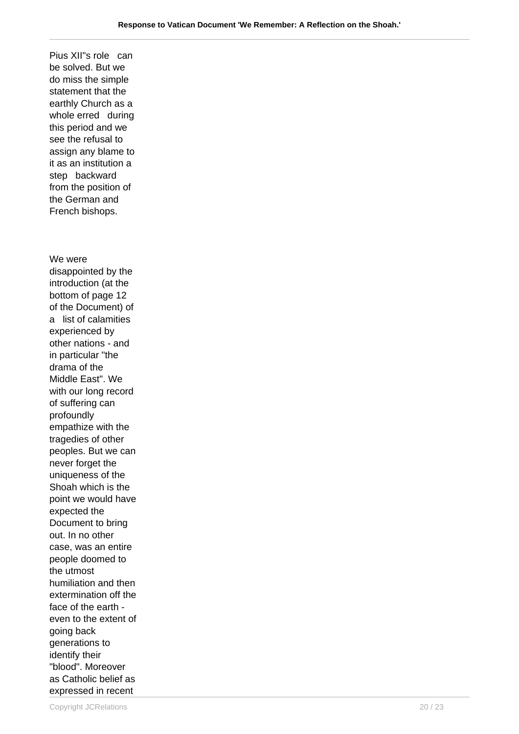Pius XII"s role can be solved. But we do miss the simple statement that the earthly Church as a whole erred during this period and we see the refusal to assign any blame to it as an institution a step backward from the position of the German and French bishops.

We were disappointed by the introduction (at the bottom of page 12 of the Document) of a list of calamities experienced by other nations - and in particular "the drama of the Middle East". We with our long record of suffering can profoundly empathize with the tragedies of other peoples. But we can never forget the uniqueness of the Shoah which is the point we would have expected the Document to bring out. In no other case, was an entire people doomed to the utmost humiliation and then extermination off the face of the earth even to the extent of going back generations to identify their "blood". Moreover as Catholic belief as expressed in recent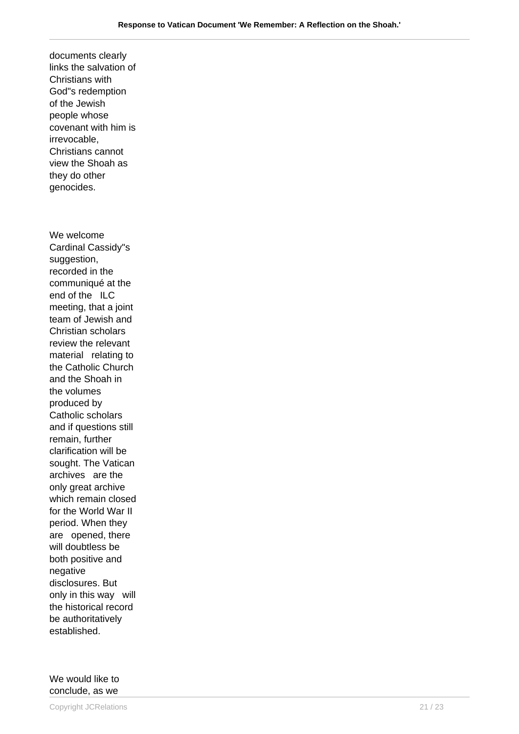documents clearly links the salvation of Christians with God"s redemption of the Jewish people whose covenant with him is irrevocable, Christians cannot view the Shoah as they do other genocides. We welcome Cardinal Cassidy"s suggestion, recorded in the communiqué at the end of the ILC meeting, that a joint team of Jewish and Christian scholars review the relevant material relating to the Catholic Church and the Shoah in the volumes produced by Catholic scholars and if questions still remain, further clarification will be sought. The Vatican archives are the only great archive which remain closed for the World War II period. When they are opened, there will doubtless be both positive and negative disclosures. But only in this way will the historical record be authoritatively established.